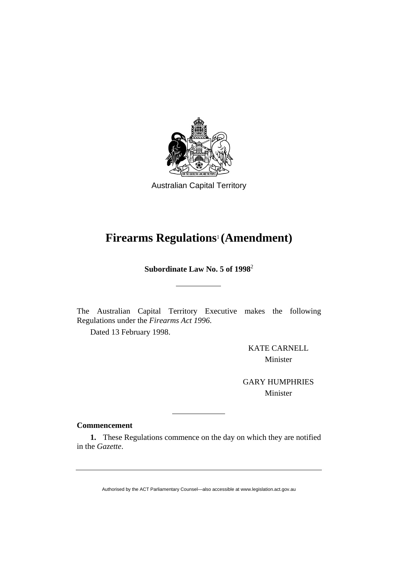

Australian Capital Territory

# **Firearms Regulations**1 **(Amendment)**

**Subordinate Law No. 5 of 1998**<sup>2</sup>

The Australian Capital Territory Executive makes the following Regulations under the *Firearms Act 1996*.

Dated 13 February 1998.

KATE CARNELL Minister

GARY HUMPHRIES Minister

## **Commencement**

**1.** These Regulations commence on the day on which they are notified in the *Gazette*.

Authorised by the ACT Parliamentary Counsel—also accessible at www.legislation.act.gov.au